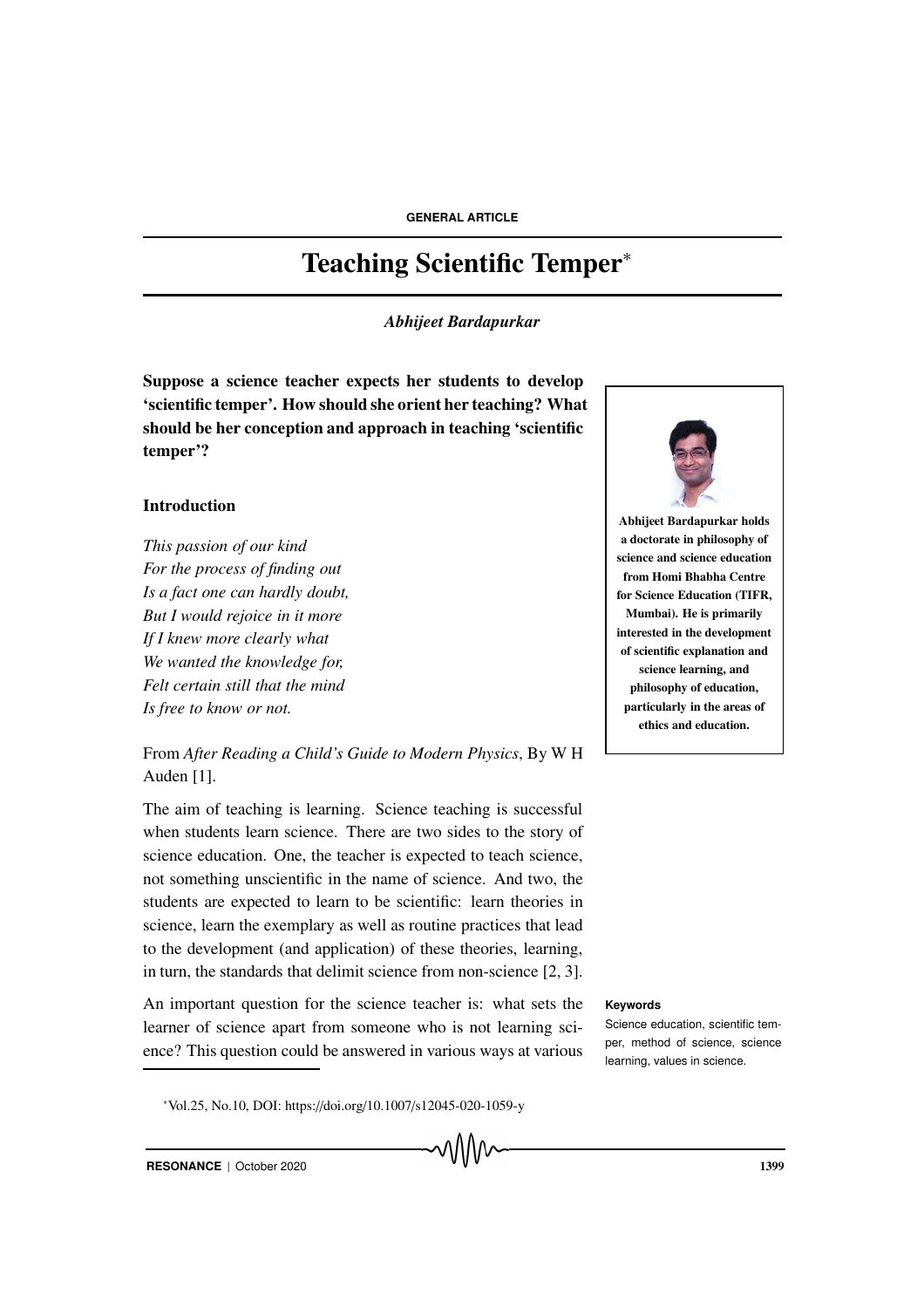# Teaching Scientific Temper<sup>∗</sup>

*Abhijeet Bardapurkar*

Suppose a science teacher expects her students to develop 'scientific temper'. How should she orient her teaching? What should be her conception and approach in teaching 'scientific temper'?

# Introduction

*This passion of our kind For the process of finding out Is a fact one can hardly doubt, But I would rejoice in it more If I knew more clearly what We wanted the knowledge for, Felt certain still that the mind Is free to know or not.*

From *After Reading a Child's Guide to Modern Physics*, By W H Auden [1].

The aim of teaching is learning. Science teaching is successful when students learn science. There are two sides to the story of science education. One, the teacher is expected to teach science, not something unscientific in the name of science. And two, the students are expected to learn to be scientific: learn theories in science, learn the exemplary as well as routine practices that lead to the development (and application) of these theories, learning, in turn, the standards that delimit science from non-science [2, 3].

An important question for the science teacher is: what sets the **Keywords** learner of science apart from someone who is not learning science? This question could be answered in various ways at various

<sup>∗</sup>Vol.25, No.10, DOI: https://doi.org/10.1007/s12045-020-1059-y



Abhijeet Bardapurkar holds a doctorate in philosophy of science and science education from Homi Bhabha Centre for Science Education (TIFR, Mumbai). He is primarily interested in the development of scientific explanation and science learning, and philosophy of education, particularly in the areas of ethics and education.

Science education, scientific temper, method of science, science learning, values in science.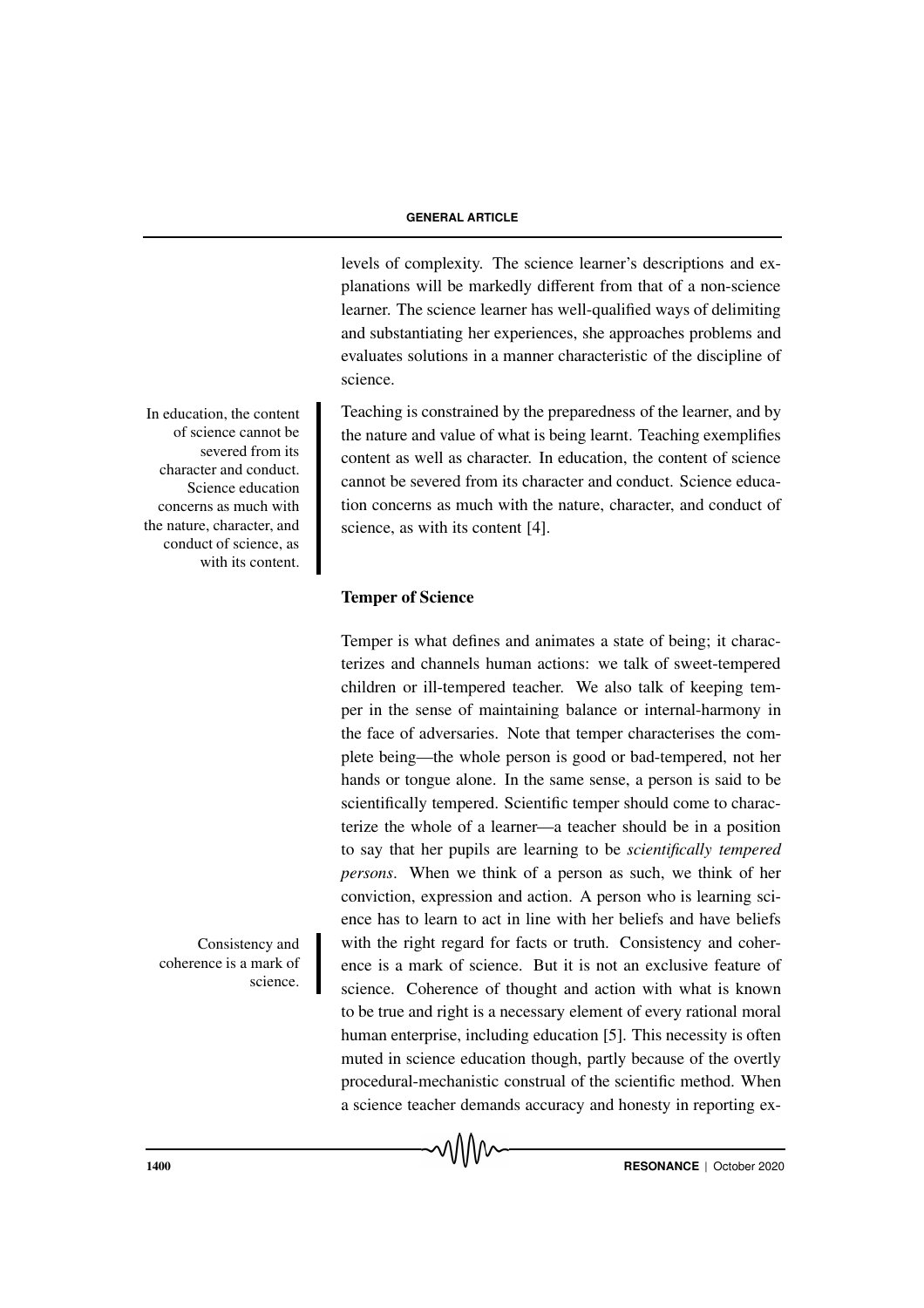levels of complexity. The science learner's descriptions and explanations will be markedly different from that of a non-science learner. The science learner has well-qualified ways of delimiting and substantiating her experiences, she approaches problems and evaluates solutions in a manner characteristic of the discipline of science.

Teaching is constrained by the preparedness of the learner, and by the nature and value of what is being learnt. Teaching exemplifies content as well as character. In education, the content of science cannot be severed from its character and conduct. Science education concerns as much with the nature, character, and conduct of science, as with its content [4].

# Temper of Science

Temper is what defines and animates a state of being; it characterizes and channels human actions: we talk of sweet-tempered children or ill-tempered teacher. We also talk of keeping temper in the sense of maintaining balance or internal-harmony in the face of adversaries. Note that temper characterises the complete being—the whole person is good or bad-tempered, not her hands or tongue alone. In the same sense, a person is said to be scientifically tempered. Scientific temper should come to characterize the whole of a learner—a teacher should be in a position to say that her pupils are learning to be *scientifically tempered persons*. When we think of a person as such, we think of her conviction, expression and action. A person who is learning science has to learn to act in line with her beliefs and have beliefs Consistency and with the right regard for facts or truth. Consistency and coherence is a mark of science. But it is not an exclusive feature of science. Coherence of thought and action with what is known to be true and right is a necessary element of every rational moral human enterprise, including education [5]. This necessity is often muted in science education though, partly because of the overtly procedural-mechanistic construal of the scientific method. When a science teacher demands accuracy and honesty in reporting ex-

In education, the content of science cannot be severed from its character and conduct. Science education concerns as much with the nature, character, and conduct of science, as with its content.

> coherence is a mark of science.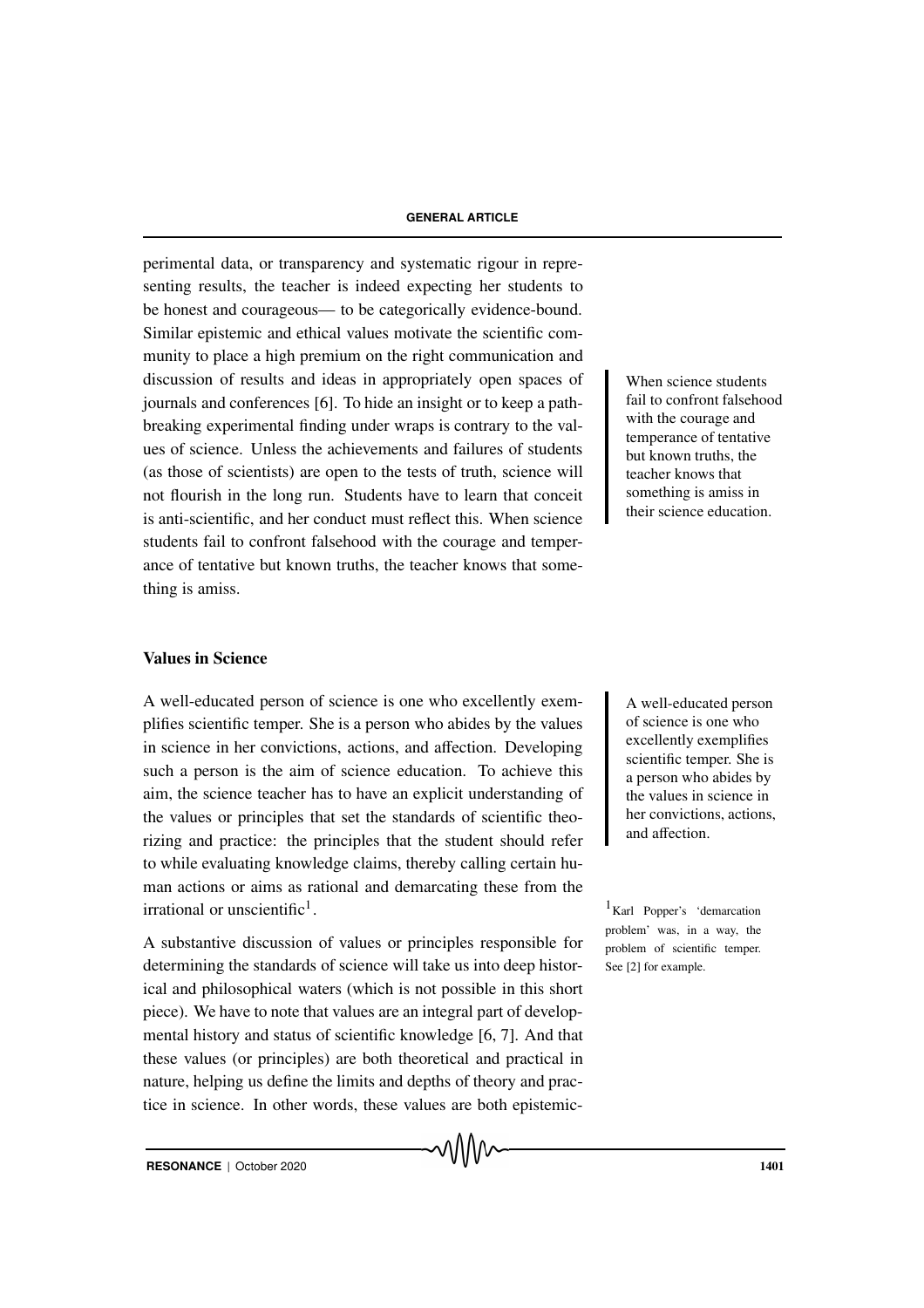perimental data, or transparency and systematic rigour in representing results, the teacher is indeed expecting her students to be honest and courageous— to be categorically evidence-bound. Similar epistemic and ethical values motivate the scientific community to place a high premium on the right communication and discussion of results and ideas in appropriately open spaces of When science students journals and conferences [6]. To hide an insight or to keep a pathbreaking experimental finding under wraps is contrary to the values of science. Unless the achievements and failures of students (as those of scientists) are open to the tests of truth, science will not flourish in the long run. Students have to learn that conceit is anti-scientific, and her conduct must reflect this. When science students fail to confront falsehood with the courage and temperance of tentative but known truths, the teacher knows that something is amiss.

Values in Science

A well-educated person of science is one who excellently exem-<br>A well-educated person plifies scientific temper. She is a person who abides by the values in science in her convictions, actions, and affection. Developing such a person is the aim of science education. To achieve this aim, the science teacher has to have an explicit understanding of the values or principles that set the standards of scientific theorizing and practice: the principles that the student should refer to while evaluating knowledge claims, thereby calling certain human actions or aims as rational and demarcating these from the irrational or unscientific<sup>1</sup>.

A substantive discussion of values or principles responsible for determining the standards of science will take us into deep historical and philosophical waters (which is not possible in this short piece). We have to note that values are an integral part of developmental history and status of scientific knowledge [6, 7]. And that these values (or principles) are both theoretical and practical in nature, helping us define the limits and depths of theory and practice in science. In other words, these values are both epistemicfail to confront falsehood with the courage and temperance of tentative but known truths, the teacher knows that something is amiss in their science education.

of science is one who excellently exemplifies scientific temper. She is a person who abides by the values in science in her convictions, actions, and affection.

 $1$ Karl Popper's 'demarcation problem' was, in a way, the problem of scientific temper. See [2] for example.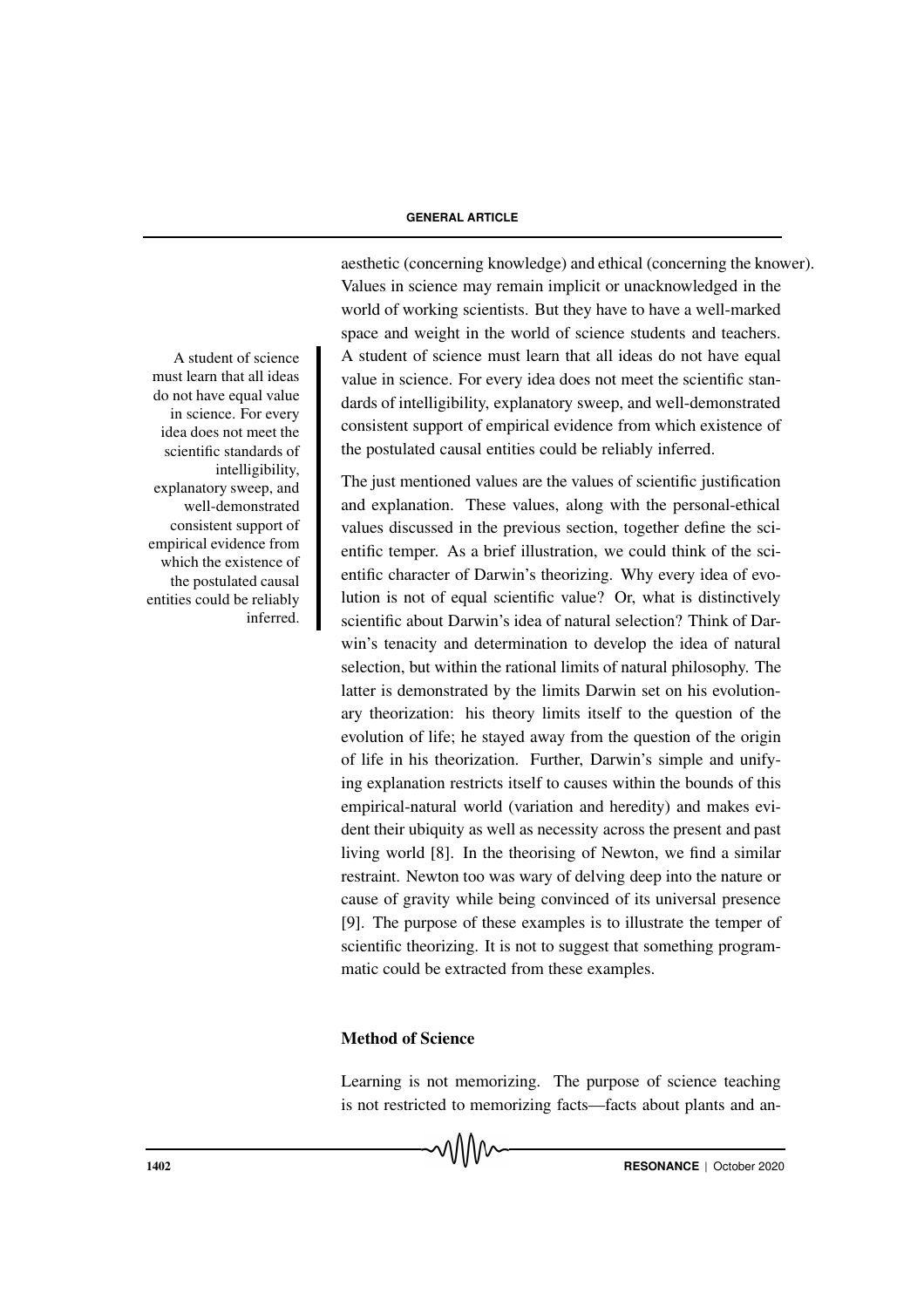A student of science must learn that all ideas do not have equal value in science. For every idea does not meet the scientific standards of intelligibility, explanatory sweep, and well-demonstrated consistent support of empirical evidence from which the existence of the postulated causal entities could be reliably inferred. aesthetic (concerning knowledge) and ethical (concerning the knower). Values in science may remain implicit or unacknowledged in the world of working scientists. But they have to have a well-marked space and weight in the world of science students and teachers. A student of science must learn that all ideas do not have equal value in science. For every idea does not meet the scientific standards of intelligibility, explanatory sweep, and well-demonstrated consistent support of empirical evidence from which existence of the postulated causal entities could be reliably inferred.

The just mentioned values are the values of scientific justification and explanation. These values, along with the personal-ethical values discussed in the previous section, together define the scientific temper. As a brief illustration, we could think of the scientific character of Darwin's theorizing. Why every idea of evolution is not of equal scientific value? Or, what is distinctively scientific about Darwin's idea of natural selection? Think of Darwin's tenacity and determination to develop the idea of natural selection, but within the rational limits of natural philosophy. The latter is demonstrated by the limits Darwin set on his evolutionary theorization: his theory limits itself to the question of the evolution of life; he stayed away from the question of the origin of life in his theorization. Further, Darwin's simple and unifying explanation restricts itself to causes within the bounds of this empirical-natural world (variation and heredity) and makes evident their ubiquity as well as necessity across the present and past living world [8]. In the theorising of Newton, we find a similar restraint. Newton too was wary of delving deep into the nature or cause of gravity while being convinced of its universal presence [9]. The purpose of these examples is to illustrate the temper of scientific theorizing. It is not to suggest that something programmatic could be extracted from these examples.

# Method of Science

Learning is not memorizing. The purpose of science teaching is not restricted to memorizing facts—facts about plants and an-

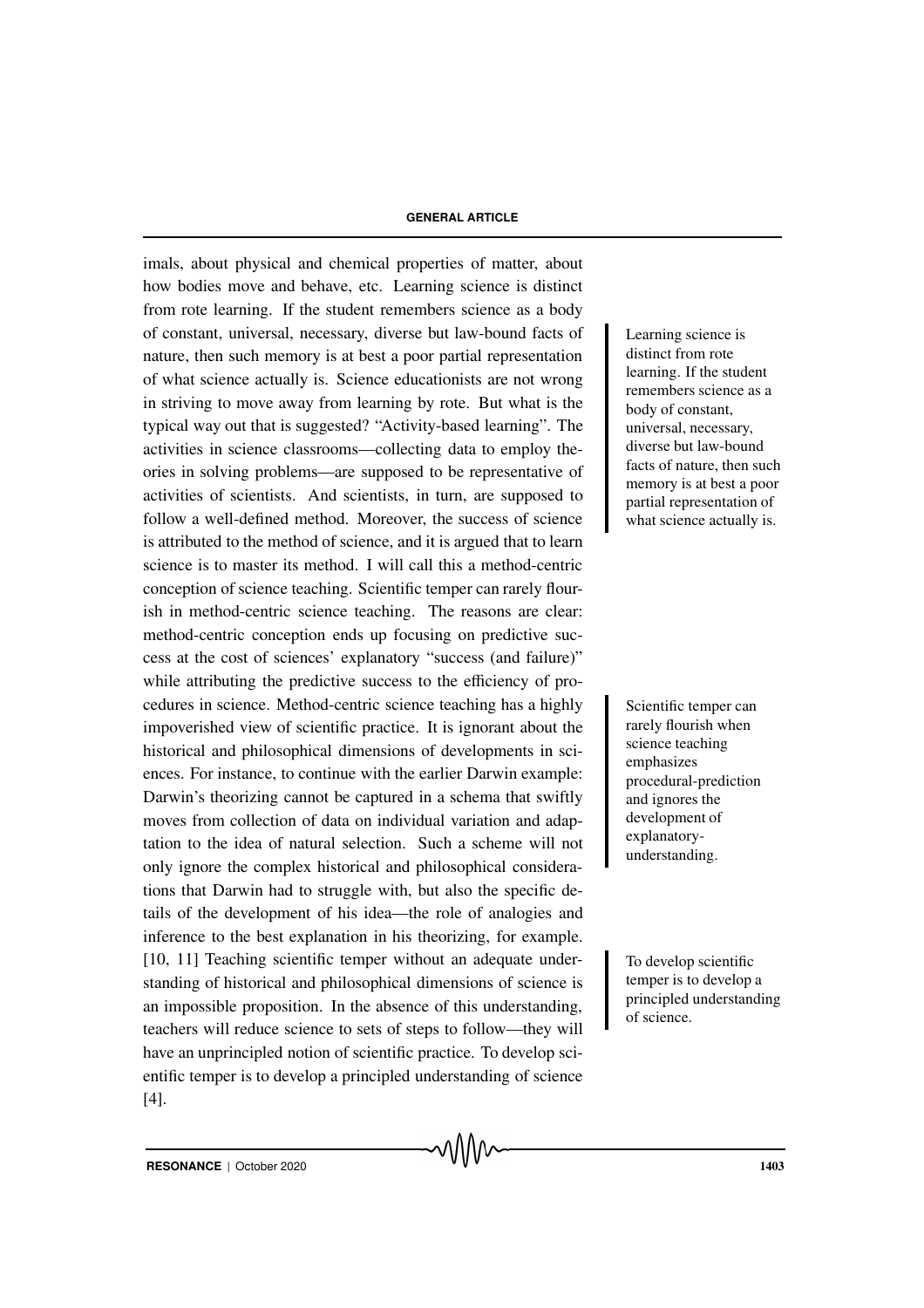imals, about physical and chemical properties of matter, about how bodies move and behave, etc. Learning science is distinct from rote learning. If the student remembers science as a body of constant, universal, necessary, diverse but law-bound facts of Learning science is nature, then such memory is at best a poor partial representation of what science actually is. Science educationists are not wrong in striving to move away from learning by rote. But what is the typical way out that is suggested? "Activity-based learning". The activities in science classrooms—collecting data to employ theories in solving problems—are supposed to be representative of activities of scientists. And scientists, in turn, are supposed to follow a well-defined method. Moreover, the success of science is attributed to the method of science, and it is argued that to learn science is to master its method. I will call this a method-centric conception of science teaching. Scientific temper can rarely flourish in method-centric science teaching. The reasons are clear: method-centric conception ends up focusing on predictive success at the cost of sciences' explanatory "success (and failure)" while attributing the predictive success to the efficiency of procedures in science. Method-centric science teaching has a highly scientific temper can impoverished view of scientific practice. It is ignorant about the historical and philosophical dimensions of developments in sciences. For instance, to continue with the earlier Darwin example: Darwin's theorizing cannot be captured in a schema that swiftly moves from collection of data on individual variation and adaptation to the idea of natural selection. Such a scheme will not only ignore the complex historical and philosophical considerations that Darwin had to struggle with, but also the specific details of the development of his idea—the role of analogies and inference to the best explanation in his theorizing, for example. [10, 11] Teaching scientific temper without an adequate under-<br>
To develop scientific standing of historical and philosophical dimensions of science is an impossible proposition. In the absence of this understanding, teachers will reduce science to sets of steps to follow—they will have an unprincipled notion of scientific practice. To develop scientific temper is to develop a principled understanding of science [4].

distinct from rote learning. If the student remembers science as a body of constant, universal, necessary, diverse but law-bound facts of nature, then such memory is at best a poor partial representation of what science actually is.

rarely flourish when science teaching emphasizes procedural-prediction and ignores the development of explanatoryunderstanding.

temper is to develop a principled understanding of science.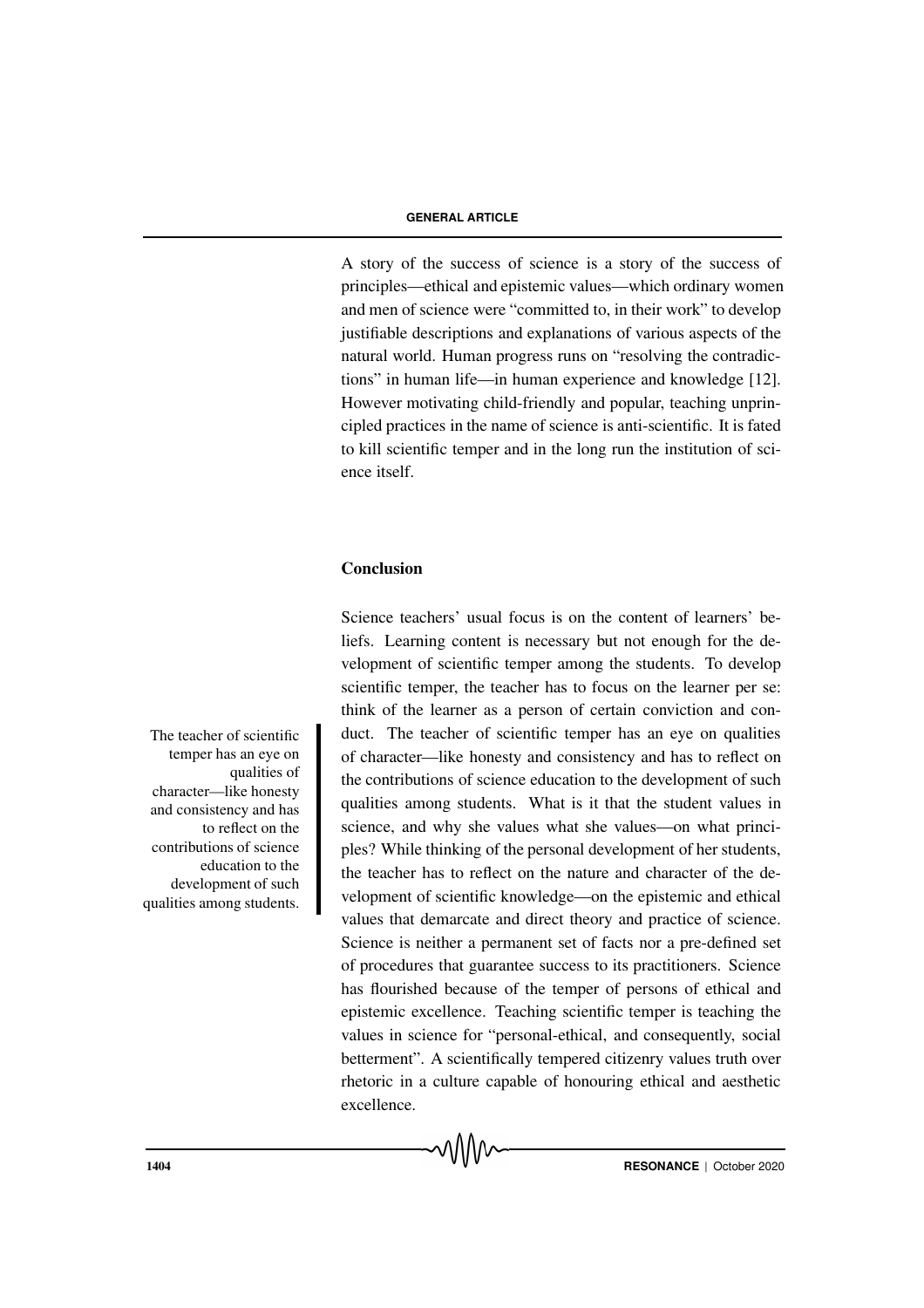A story of the success of science is a story of the success of principles—ethical and epistemic values—which ordinary women and men of science were "committed to, in their work" to develop justifiable descriptions and explanations of various aspects of the natural world. Human progress runs on "resolving the contradictions" in human life—in human experience and knowledge [12]. However motivating child-friendly and popular, teaching unprincipled practices in the name of science is anti-scientific. It is fated to kill scientific temper and in the long run the institution of science itself.

# Conclusion

Science teachers' usual focus is on the content of learners' beliefs. Learning content is necessary but not enough for the development of scientific temper among the students. To develop scientific temper, the teacher has to focus on the learner per se: think of the learner as a person of certain conviction and conduct. The teacher of scientific temper has an eye on qualities of character—like honesty and consistency and has to reflect on the contributions of science education to the development of such qualities among students. What is it that the student values in science, and why she values what she values—on what principles? While thinking of the personal development of her students, the teacher has to reflect on the nature and character of the development of scientific knowledge—on the epistemic and ethical values that demarcate and direct theory and practice of science. Science is neither a permanent set of facts nor a pre-defined set of procedures that guarantee success to its practitioners. Science has flourished because of the temper of persons of ethical and epistemic excellence. Teaching scientific temper is teaching the values in science for "personal-ethical, and consequently, social betterment". A scientifically tempered citizenry values truth over rhetoric in a culture capable of honouring ethical and aesthetic excellence.

The teacher of scientific. temper has an eye on qualities of character—like honesty and consistency and has to reflect on the contributions of science education to the development of such qualities among students.